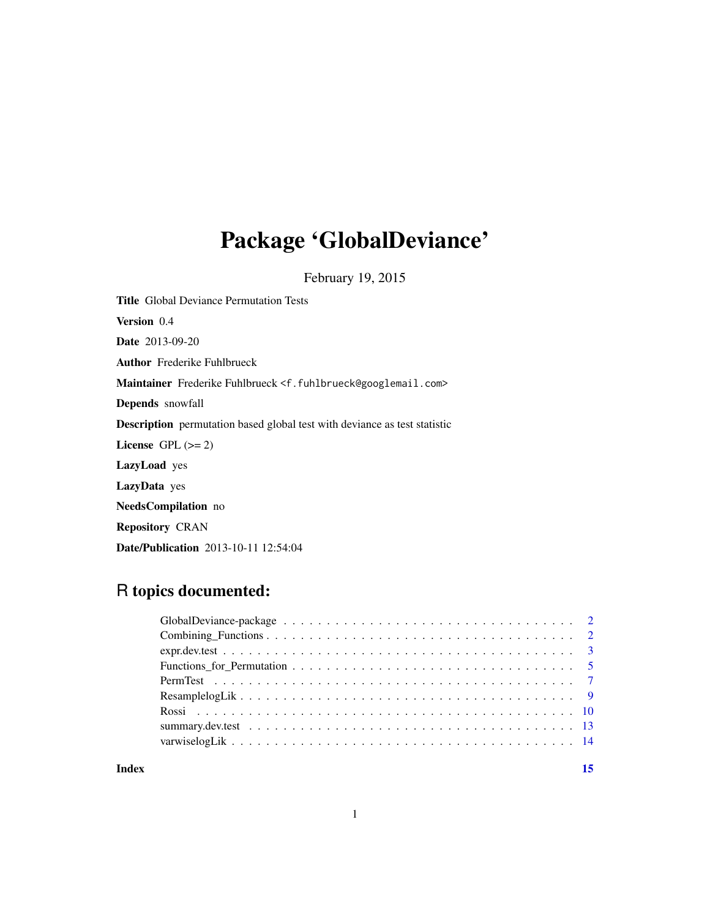## Package 'GlobalDeviance'

February 19, 2015

Title Global Deviance Permutation Tests Version 0.4 Date 2013-09-20 Author Frederike Fuhlbrueck Maintainer Frederike Fuhlbrueck <f.fuhlbrueck@googlemail.com> Depends snowfall Description permutation based global test with deviance as test statistic License GPL  $(>= 2)$ LazyLoad yes LazyData yes NeedsCompilation no Repository CRAN Date/Publication 2013-10-11 12:54:04

## R topics documented:

**Index** [15](#page-14-0)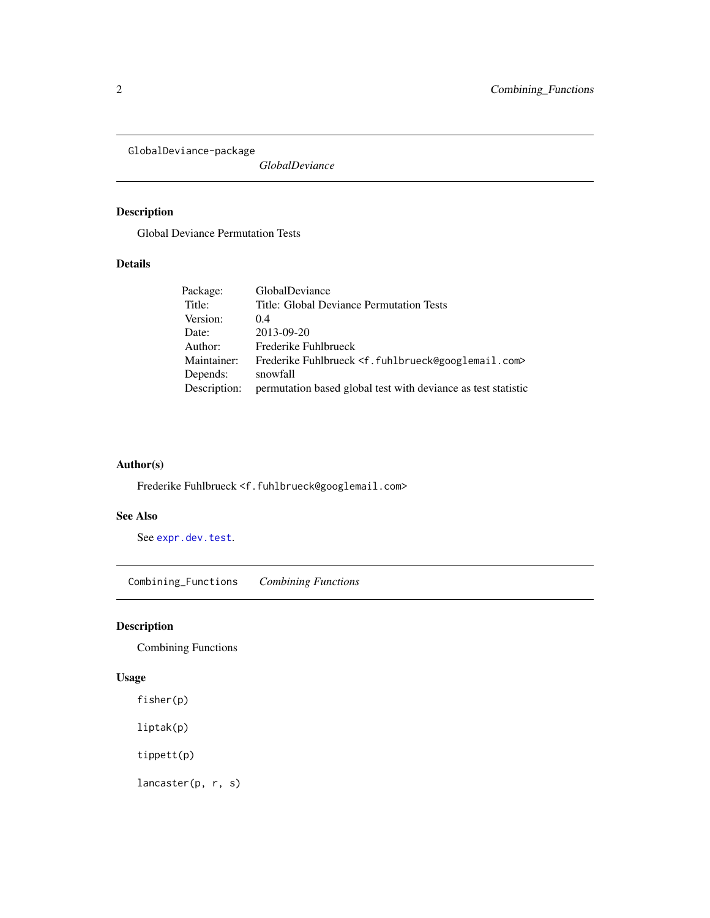<span id="page-1-0"></span>GlobalDeviance-package

*GlobalDeviance*

### Description

Global Deviance Permutation Tests

### Details

| Package:     | <b>GlobalDeviance</b>                                                            |
|--------------|----------------------------------------------------------------------------------|
| Title:       | Title: Global Deviance Permutation Tests                                         |
| Version:     | (0.4)                                                                            |
| Date:        | 2013-09-20                                                                       |
| Author:      | Frederike Fuhlbrueck                                                             |
| Maintainer:  | Frederike Fuhlbrueck <f.fuhlbrueck@googlemail.com></f.fuhlbrueck@googlemail.com> |
| Depends:     | snowfall                                                                         |
| Description: | permutation based global test with deviance as test statistic                    |

### Author(s)

Frederike Fuhlbrueck <f.fuhlbrueck@googlemail.com>

### See Also

See [expr.dev.test](#page-2-1).

Combining\_Functions *Combining Functions*

### Description

Combining Functions

### Usage

fisher(p)

liptak(p)

tippett(p)

lancaster(p, r, s)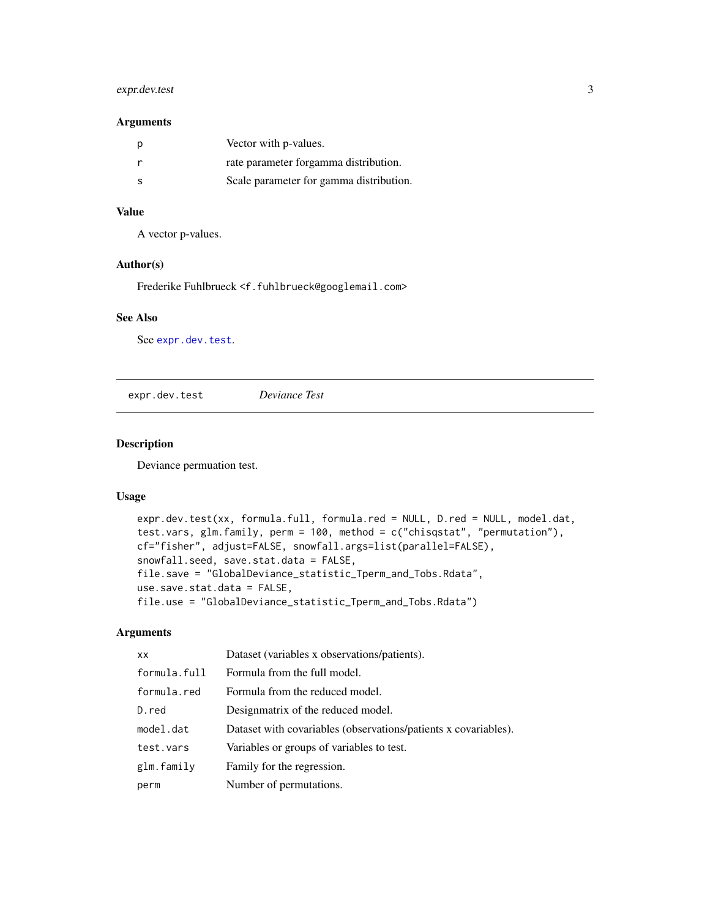### <span id="page-2-0"></span>expr.dev.test 3

#### Arguments

| p  | Vector with p-values.                   |
|----|-----------------------------------------|
|    | rate parameter forgamma distribution.   |
| -S | Scale parameter for gamma distribution. |

### Value

A vector p-values.

#### Author(s)

Frederike Fuhlbrueck <f.fuhlbrueck@googlemail.com>

### See Also

See [expr.dev.test](#page-2-1).

<span id="page-2-1"></span>expr.dev.test *Deviance Test*

#### Description

Deviance permuation test.

### Usage

```
expr.dev.test(xx, formula.full, formula.red = NULL, D.red = NULL, model.dat,
test.vars, glm.family, perm = 100, method = c("chisqstat", "permutation"),
cf="fisher", adjust=FALSE, snowfall.args=list(parallel=FALSE),
snowfall.seed, save.stat.data = FALSE,
file.save = "GlobalDeviance_statistic_Tperm_and_Tobs.Rdata",
use.save.stat.data = FALSE,
file.use = "GlobalDeviance_statistic_Tperm_and_Tobs.Rdata")
```
### Arguments

| <b>XX</b>    | Dataset (variables x observations/patients).                    |
|--------------|-----------------------------------------------------------------|
| formula.full | Formula from the full model.                                    |
| formula.red  | Formula from the reduced model.                                 |
| D.red        | Designmatrix of the reduced model.                              |
| model.dat    | Dataset with covariables (observations/patients x covariables). |
| test.vars    | Variables or groups of variables to test.                       |
| glm.family   | Family for the regression.                                      |
| perm         | Number of permutations.                                         |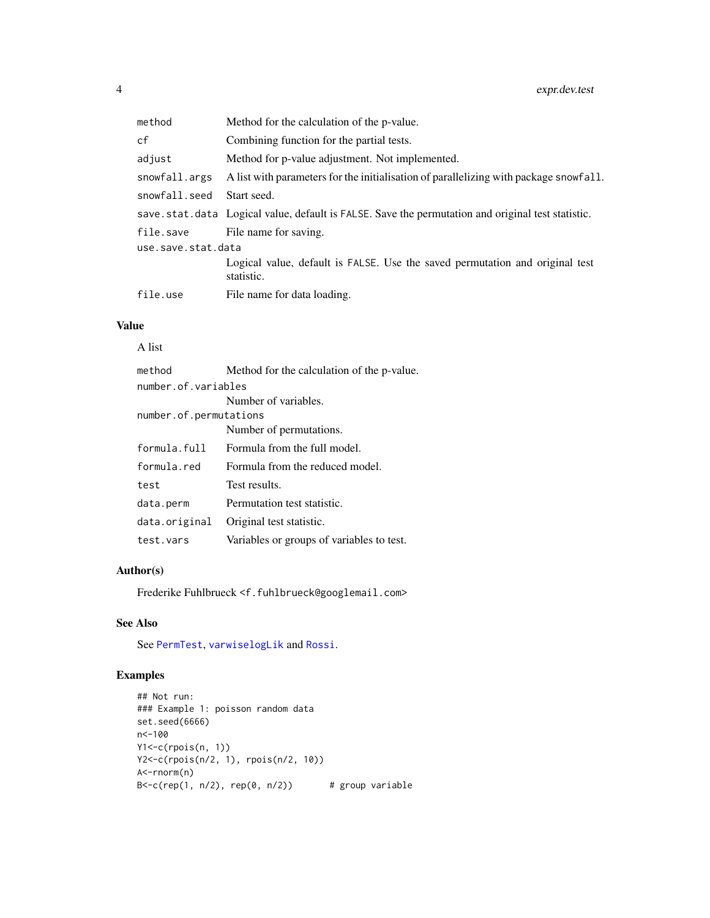<span id="page-3-0"></span>

| method             | Method for the calculation of the p-value.                                                        |  |
|--------------------|---------------------------------------------------------------------------------------------------|--|
| cf                 | Combining function for the partial tests.                                                         |  |
| adjust             | Method for p-value adjustment. Not implemented.                                                   |  |
| snowfall.args      | A list with parameters for the initialisation of parallelizing with package snowfall.             |  |
| snowfall.seed      | Start seed.                                                                                       |  |
|                    | save.stat.data Logical value, default is FALSE. Save the permutation and original test statistic. |  |
| file.save          | File name for saving.                                                                             |  |
| use.save.stat.data |                                                                                                   |  |
|                    | Logical value, default is FALSE. Use the saved permutation and original test<br>statistic.        |  |
| file.use           | File name for data loading.                                                                       |  |
|                    |                                                                                                   |  |

### Value

### A list

| method                 | Method for the calculation of the p-value. |  |
|------------------------|--------------------------------------------|--|
| number.of.variables    |                                            |  |
|                        | Number of variables.                       |  |
| number.of.permutations |                                            |  |
|                        | Number of permutations.                    |  |
| formula.full           | Formula from the full model.               |  |
| formula red            | Formula from the reduced model.            |  |
| test                   | Test results.                              |  |
| data.perm              | Permutation test statistic.                |  |
| data.original          | Original test statistic.                   |  |
| test.vars              | Variables or groups of variables to test.  |  |

### Author(s)

Frederike Fuhlbrueck <f.fuhlbrueck@googlemail.com>

### See Also

See [PermTest](#page-6-1), [varwiselogLik](#page-13-1) and [Rossi](#page-9-1).

### Examples

```
## Not run:
### Example 1: poisson random data
set.seed(6666)
n<-100
Y1<-c(rpois(n, 1))
Y2<-c(rpois(n/2, 1), rpois(n/2, 10))
A<-rnorm(n)
B \leq -c(rep(1, n/2), rep(0, n/2)) # group variable
```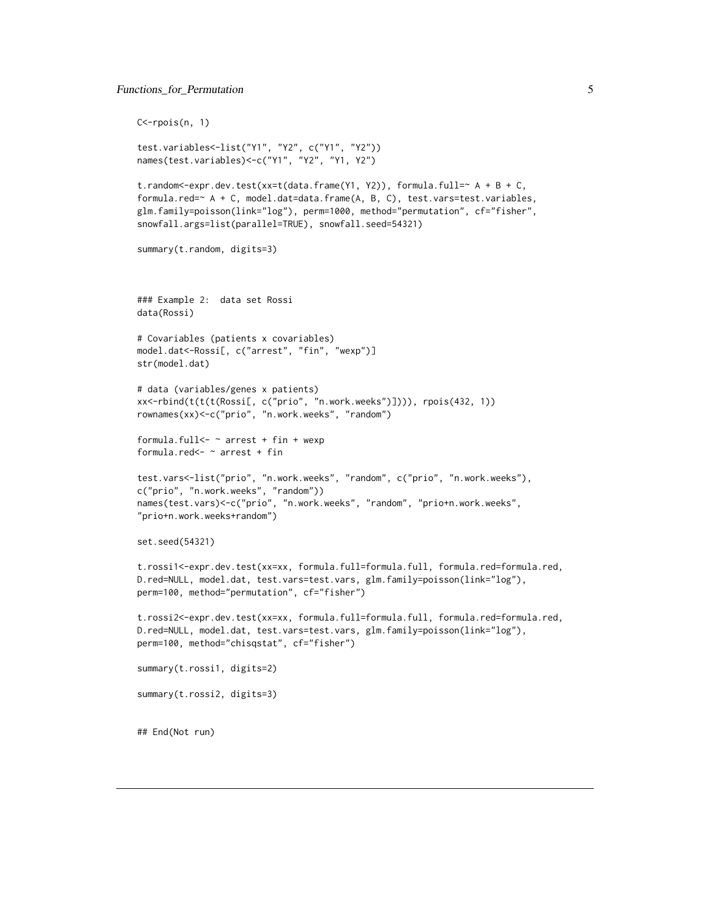### <span id="page-4-0"></span>Functions\_for\_Permutation 5

```
C<-rpois(n, 1)
test.variables<-list("Y1", "Y2", c("Y1", "Y2"))
names(test.variables)<-c("Y1", "Y2", "Y1, Y2")
t.random<-expr.dev.test(xx=t(data.frame(Y1, Y2)), formula.full=~ A + B + C,
formula.red=~ A + C, model.dat=data.frame(A, B, C), test.vars=test.variables,
glm.family=poisson(link="log"), perm=1000, method="permutation", cf="fisher",
snowfall.args=list(parallel=TRUE), snowfall.seed=54321)
summary(t.random, digits=3)
### Example 2: data set Rossi
data(Rossi)
# Covariables (patients x covariables)
model.dat<-Rossi[, c("arrest", "fin", "wexp")]
str(model.dat)
# data (variables/genes x patients)
xx<-rbind(t(t(t(Rossi[, c("prio", "n.work.weeks")]))), rpois(432, 1))
rownames(xx)<-c("prio", "n.work.weeks", "random")
formula.full \leq \sim arrest + fin + wexp
formula.red<- ~ arrest + fin
test.vars<-list("prio", "n.work.weeks", "random", c("prio", "n.work.weeks"),
c("prio", "n.work.weeks", "random"))
names(test.vars)<-c("prio", "n.work.weeks", "random", "prio+n.work.weeks",
"prio+n.work.weeks+random")
set.seed(54321)
t.rossi1<-expr.dev.test(xx=xx, formula.full=formula.full, formula.red=formula.red,
D.red=NULL, model.dat, test.vars=test.vars, glm.family=poisson(link="log"),
perm=100, method="permutation", cf="fisher")
t.rossi2<-expr.dev.test(xx=xx, formula.full=formula.full, formula.red=formula.red,
D.red=NULL, model.dat, test.vars=test.vars, glm.family=poisson(link="log"),
perm=100, method="chisqstat", cf="fisher")
summary(t.rossi1, digits=2)
summary(t.rossi2, digits=3)
## End(Not run)
```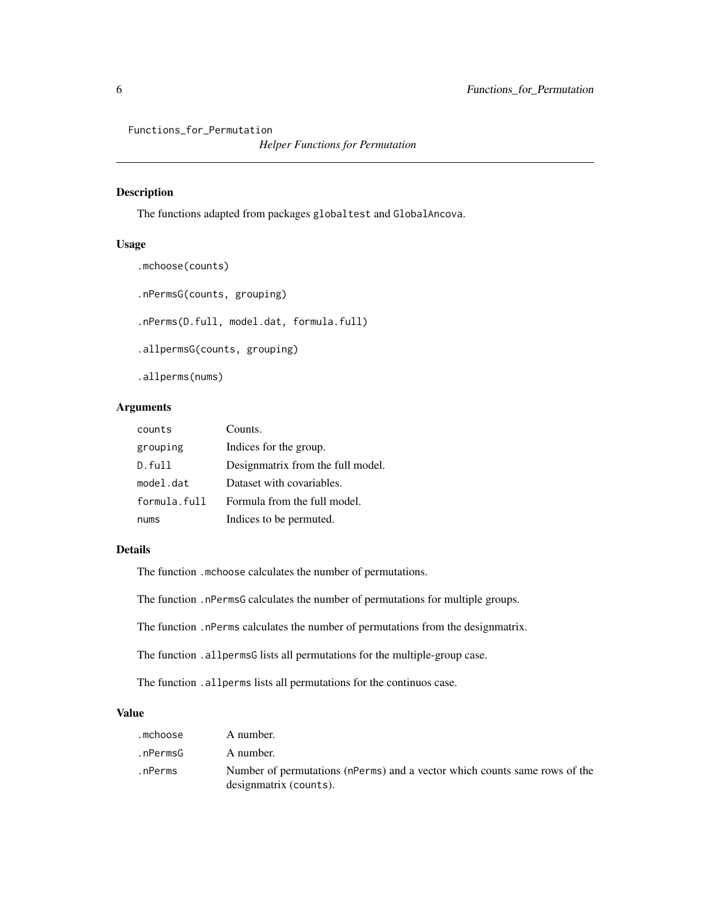<span id="page-5-0"></span>Functions\_for\_Permutation

*Helper Functions for Permutation*

### Description

The functions adapted from packages globaltest and GlobalAncova.

#### Usage

```
.mchoose(counts)
.nPermsG(counts, grouping)
.nPerms(D.full, model.dat, formula.full)
.allpermsG(counts, grouping)
.allperms(nums)
```
### Arguments

| counts       | Counts.                           |
|--------------|-----------------------------------|
| grouping     | Indices for the group.            |
| D.full       | Designmatrix from the full model. |
| model.dat    | Dataset with covariables.         |
| formula.full | Formula from the full model.      |
| nums         | Indices to be permuted.           |

### Details

The function .mchoose calculates the number of permutations.

The function .nPermsG calculates the number of permutations for multiple groups.

The function .nPerms calculates the number of permutations from the designmatrix.

The function .allpermsG lists all permutations for the multiple-group case.

The function .allperms lists all permutations for the continuos case.

### Value

| .mchoose | A number.                                                                                            |
|----------|------------------------------------------------------------------------------------------------------|
| .nPermsG | A number.                                                                                            |
| .nPerms  | Number of permutations (nPerms) and a vector which counts same rows of the<br>designmatrix (counts). |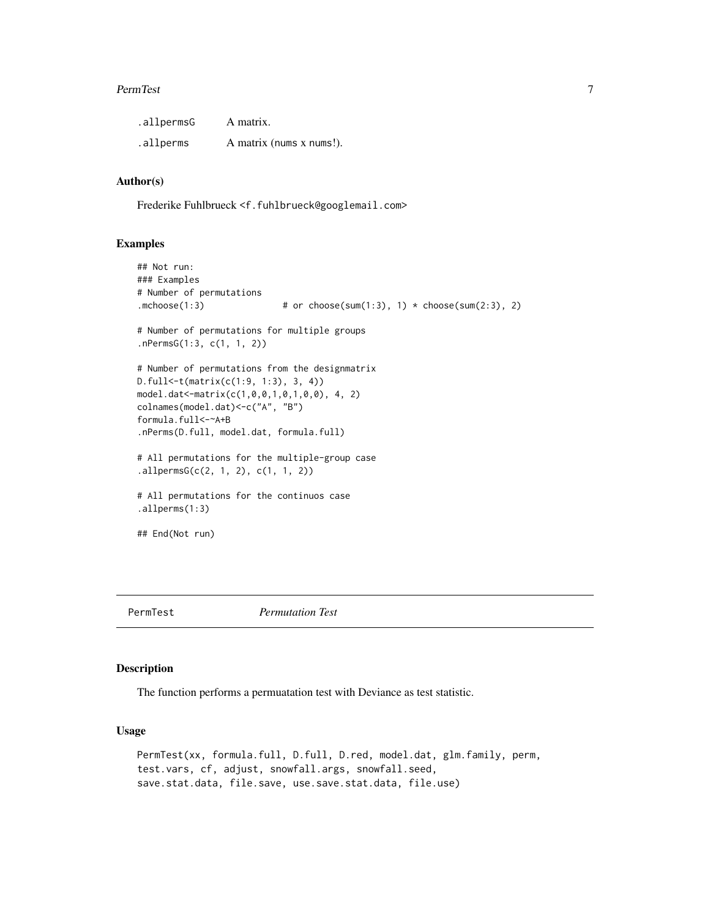#### <span id="page-6-0"></span>PermTest 7

| .allpermsG | A matrix.                |
|------------|--------------------------|
| .allperms  | A matrix (nums x nums!). |

### Author(s)

Frederike Fuhlbrueck <f.fuhlbrueck@googlemail.com>

#### Examples

```
## Not run:
### Examples
# Number of permutations
.mchoose(1:3) \# or choose(sum(1:3), 1) \star choose(sum(2:3), 2)
# Number of permutations for multiple groups
.nPermsG(1:3, c(1, 1, 2))
# Number of permutations from the designmatrix
D.full<-t(matrix(c(1:9, 1:3), 3, 4))
model.dat<-matrix(c(1,0,0,1,0,1,0,0), 4, 2)
colnames(model.dat)<-c("A", "B")
formula.full<-~A+B
.nPerms(D.full, model.dat, formula.full)
# All permutations for the multiple-group case
.allpermsG(c(2, 1, 2), c(1, 1, 2))
# All permutations for the continuos case
.allperms(1:3)
## End(Not run)
```
<span id="page-6-1"></span>

PermTest *Permutation Test*

### Description

The function performs a permuatation test with Deviance as test statistic.

#### Usage

```
PermTest(xx, formula.full, D.full, D.red, model.dat, glm.family, perm,
test.vars, cf, adjust, snowfall.args, snowfall.seed,
save.stat.data, file.save, use.save.stat.data, file.use)
```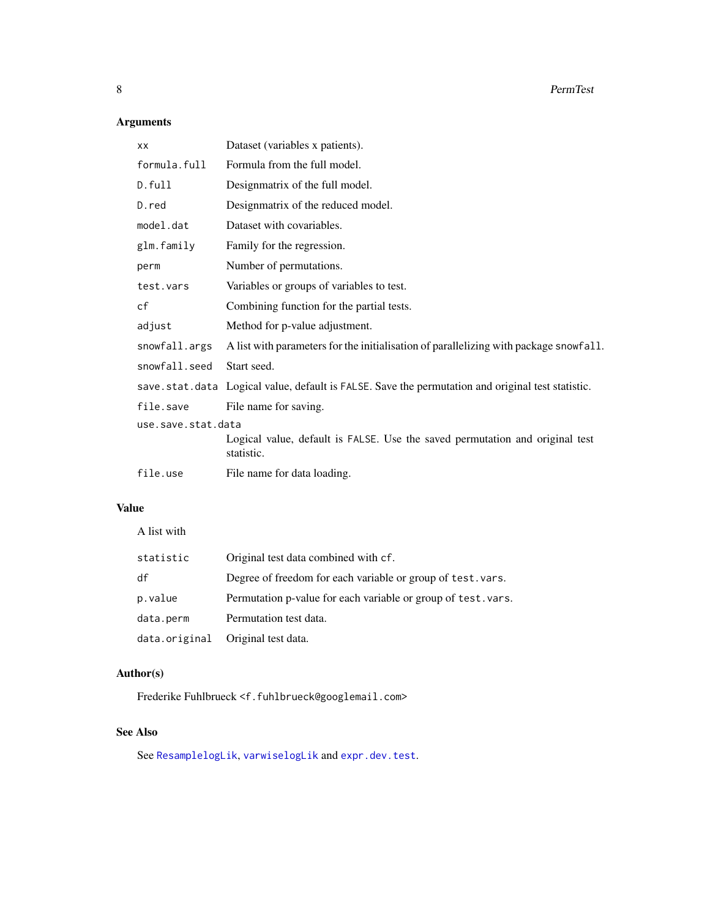### Arguments

| XX                 | Dataset (variables x patients).                                                                   |  |
|--------------------|---------------------------------------------------------------------------------------------------|--|
| formula.full       | Formula from the full model.                                                                      |  |
| D.full             | Designmatrix of the full model.                                                                   |  |
| D.red              | Designmatrix of the reduced model.                                                                |  |
| model.dat          | Dataset with covariables.                                                                         |  |
| glm.family         | Family for the regression.                                                                        |  |
| perm               | Number of permutations.                                                                           |  |
| test.vars          | Variables or groups of variables to test.                                                         |  |
| cf                 | Combining function for the partial tests.                                                         |  |
| adjust             | Method for p-value adjustment.                                                                    |  |
| snowfall.args      | A list with parameters for the initialisation of parallelizing with package snowfall.             |  |
| snowfall.seed      | Start seed.                                                                                       |  |
|                    | save.stat.data Logical value, default is FALSE. Save the permutation and original test statistic. |  |
| file.save          | File name for saving.                                                                             |  |
| use.save.stat.data |                                                                                                   |  |
|                    | Logical value, default is FALSE. Use the saved permutation and original test<br>statistic.        |  |
| file.use           | File name for data loading.                                                                       |  |

### Value

A list with

| statistic | Original test data combined with cf.                          |
|-----------|---------------------------------------------------------------|
| df        | Degree of freedom for each variable or group of test. vars.   |
| p.value   | Permutation p-value for each variable or group of test. vars. |
| data.perm | Permutation test data.                                        |
|           | data.original Original test data.                             |

### Author(s)

Frederike Fuhlbrueck <f.fuhlbrueck@googlemail.com>

### See Also

See [ResamplelogLik](#page-8-1), [varwiselogLik](#page-13-1) and [expr.dev.test](#page-2-1).

<span id="page-7-0"></span>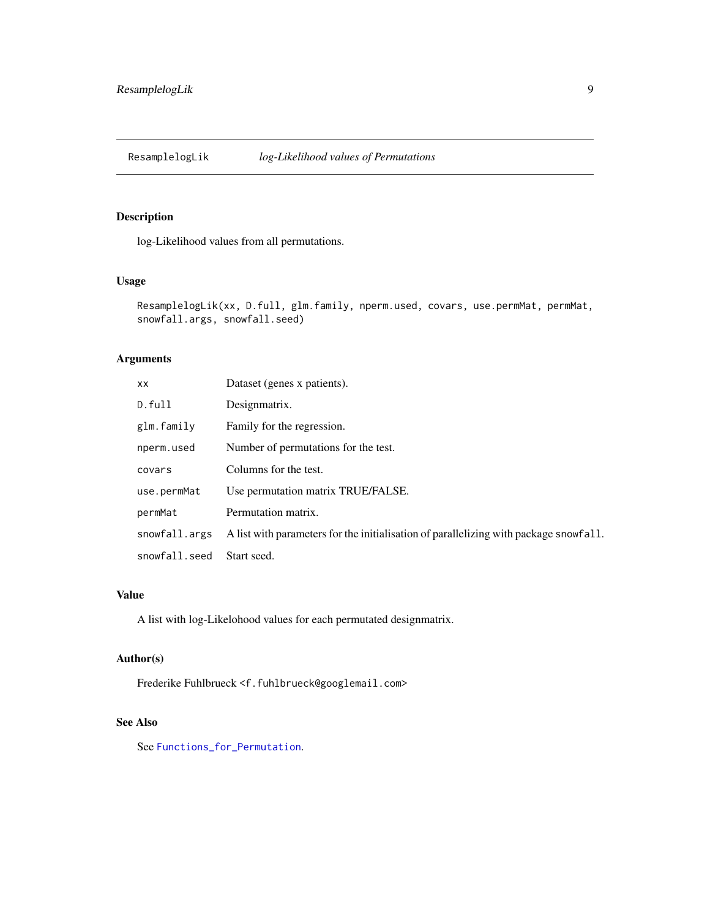<span id="page-8-1"></span><span id="page-8-0"></span>ResamplelogLik *log-Likelihood values of Permutations*

### Description

log-Likelihood values from all permutations.

### Usage

```
ResamplelogLik(xx, D.full, glm.family, nperm.used, covars, use.permMat, permMat,
snowfall.args, snowfall.seed)
```
### Arguments

| XX.           | Dataset (genes x patients).                                                           |
|---------------|---------------------------------------------------------------------------------------|
| D.full        | Designmatrix.                                                                         |
| glm.family    | Family for the regression.                                                            |
| nperm.used    | Number of permutations for the test.                                                  |
| covars        | Columns for the test.                                                                 |
| use.permMat   | Use permutation matrix TRUE/FALSE.                                                    |
| permMat       | Permutation matrix.                                                                   |
| snowfall.args | A list with parameters for the initialisation of parallelizing with package snowfall. |
| snowfall.seed | Start seed.                                                                           |

### Value

A list with log-Likelohood values for each permutated designmatrix.

#### Author(s)

Frederike Fuhlbrueck <f.fuhlbrueck@googlemail.com>

#### See Also

See [Functions\\_for\\_Permutation](#page-4-1).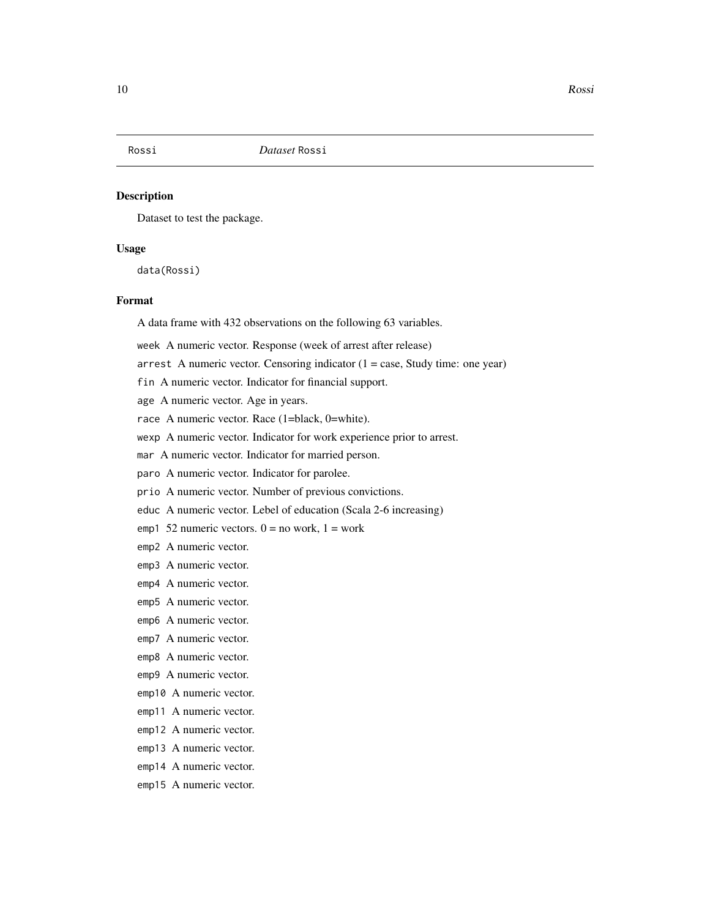<span id="page-9-1"></span><span id="page-9-0"></span>

#### Description

Dataset to test the package.

### Usage

data(Rossi)

### Format

A data frame with 432 observations on the following 63 variables.

week A numeric vector. Response (week of arrest after release)

arrest A numeric vector. Censoring indicator  $(1 = case, Study time: one year)$ 

- fin A numeric vector. Indicator for financial support.
- age A numeric vector. Age in years.

race A numeric vector. Race (1=black, 0=white).

wexp A numeric vector. Indicator for work experience prior to arrest.

mar A numeric vector. Indicator for married person.

paro A numeric vector. Indicator for parolee.

prio A numeric vector. Number of previous convictions.

educ A numeric vector. Lebel of education (Scala 2-6 increasing)

emp1 52 numeric vectors.  $0 = no$  work,  $1 = work$ 

- emp2 A numeric vector.
- emp3 A numeric vector.
- emp4 A numeric vector.
- emp5 A numeric vector.
- emp6 A numeric vector.
- emp7 A numeric vector.
- emp8 A numeric vector.
- emp9 A numeric vector.
- emp10 A numeric vector.
- emp11 A numeric vector.
- emp12 A numeric vector.
- emp13 A numeric vector.
- emp14 A numeric vector.
- emp15 A numeric vector.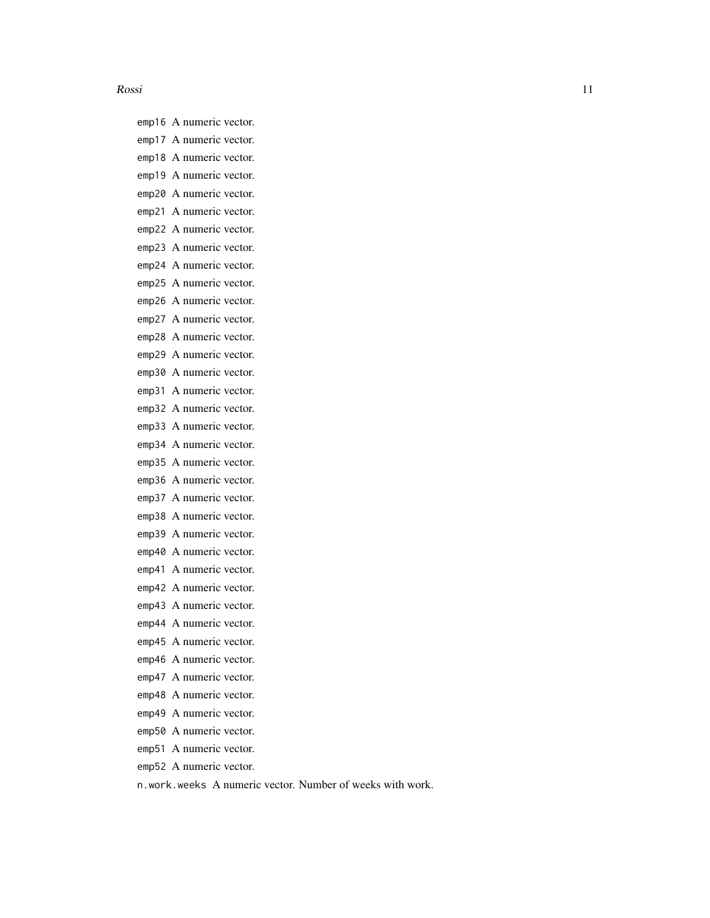#### Rossi 11

emp16 A numeric vector. emp17 A numeric vector. emp18 A numeric vector. emp19 A numeric vector. emp20 A numeric vector. emp21 A numeric vector. emp22 A numeric vector. emp23 A numeric vector. emp24 A numeric vector. emp25 A numeric vector. emp26 A numeric vector. emp27 A numeric vector. emp28 A numeric vector. emp29 A numeric vector. emp30 A numeric vector. emp31 A numeric vector. emp32 A numeric vector. emp33 A numeric vector. emp34 A numeric vector. emp35 A numeric vector. emp36 A numeric vector. emp37 A numeric vector. emp38 A numeric vector. emp39 A numeric vector. emp40 A numeric vector. emp41 A numeric vector. emp42 A numeric vector. emp43 A numeric vector. emp44 A numeric vector. emp45 A numeric vector. emp46 A numeric vector. emp47 A numeric vector. emp48 A numeric vector. emp49 A numeric vector. emp50 A numeric vector. emp51 A numeric vector. emp52 A numeric vector.

n.work.weeks A numeric vector. Number of weeks with work.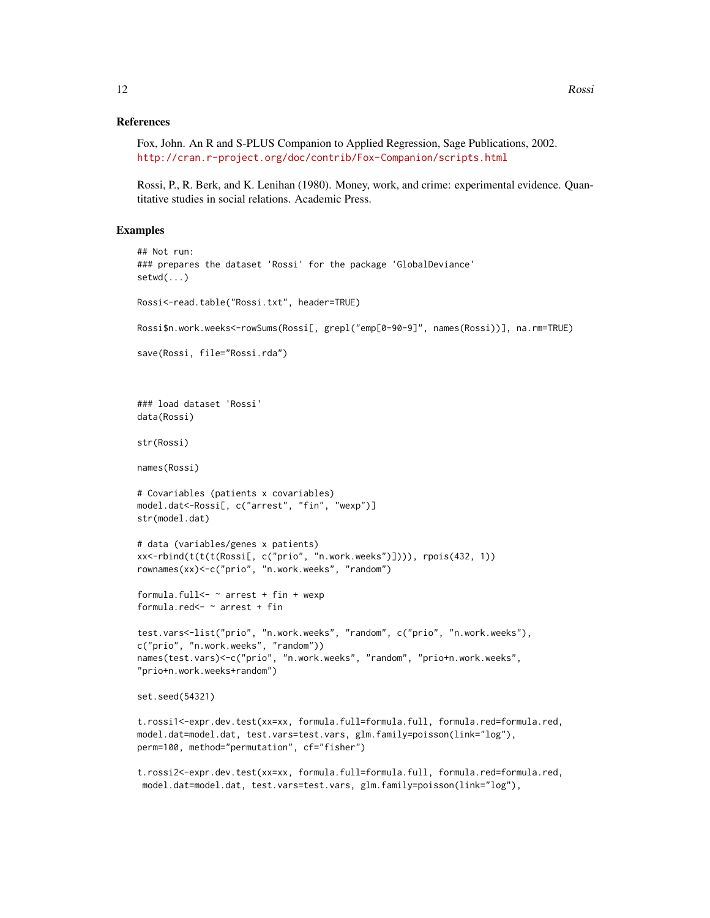#### References

```
Fox, John. An R and S-PLUS Companion to Applied Regression, Sage Publications, 2002.
http://cran.r-project.org/doc/contrib/Fox-Companion/scripts.html
```
Rossi, P., R. Berk, and K. Lenihan (1980). Money, work, and crime: experimental evidence. Quantitative studies in social relations. Academic Press.

### Examples

```
## Not run:
### prepares the dataset 'Rossi' for the package 'GlobalDeviance'
setwd( \ldots )Rossi<-read.table("Rossi.txt", header=TRUE)
Rossi$n.work.weeks<-rowSums(Rossi[, grepl("emp[0-90-9]", names(Rossi))], na.rm=TRUE)
save(Rossi, file="Rossi.rda")
### load dataset 'Rossi'
data(Rossi)
str(Rossi)
names(Rossi)
# Covariables (patients x covariables)
model.dat<-Rossi[, c("arrest", "fin", "wexp")]
str(model.dat)
# data (variables/genes x patients)
xx<-rbind(t(t(t(Rossi[, c("prio", "n.work.weeks")]))), rpois(432, 1))
rownames(xx)<-c("prio", "n.work.weeks", "random")
formula.full \leq \sim arrest + fin + wexp
formula.red<- ~ arrest + fin
test.vars<-list("prio", "n.work.weeks", "random", c("prio", "n.work.weeks"),
c("prio", "n.work.weeks", "random"))
names(test.vars)<-c("prio", "n.work.weeks", "random", "prio+n.work.weeks",
"prio+n.work.weeks+random")
set.seed(54321)
t.rossi1<-expr.dev.test(xx=xx, formula.full=formula.full, formula.red=formula.red,
model.dat=model.dat, test.vars=test.vars, glm.family=poisson(link="log"),
perm=100, method="permutation", cf="fisher")
```
t.rossi2<-expr.dev.test(xx=xx, formula.full=formula.full, formula.red=formula.red, model.dat=model.dat, test.vars=test.vars, glm.family=poisson(link="log"),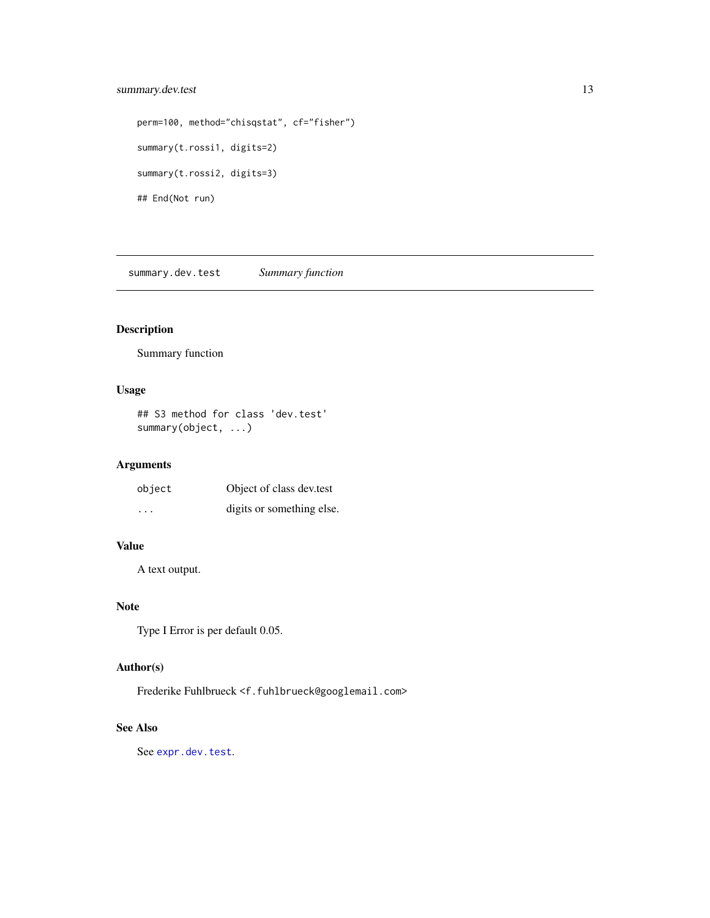### <span id="page-12-0"></span>summary.dev.test 13

```
perm=100, method="chisqstat", cf="fisher")
summary(t.rossi1, digits=2)
summary(t.rossi2, digits=3)
## End(Not run)
```
summary.dev.test *Summary function*

### Description

Summary function

### Usage

## S3 method for class 'dev.test' summary(object, ...)

### Arguments

| object  | Object of class dev.test  |
|---------|---------------------------|
| $\cdot$ | digits or something else. |

### Value

A text output.

### Note

Type I Error is per default 0.05.

### Author(s)

Frederike Fuhlbrueck <f.fuhlbrueck@googlemail.com>

#### See Also

See [expr.dev.test](#page-2-1).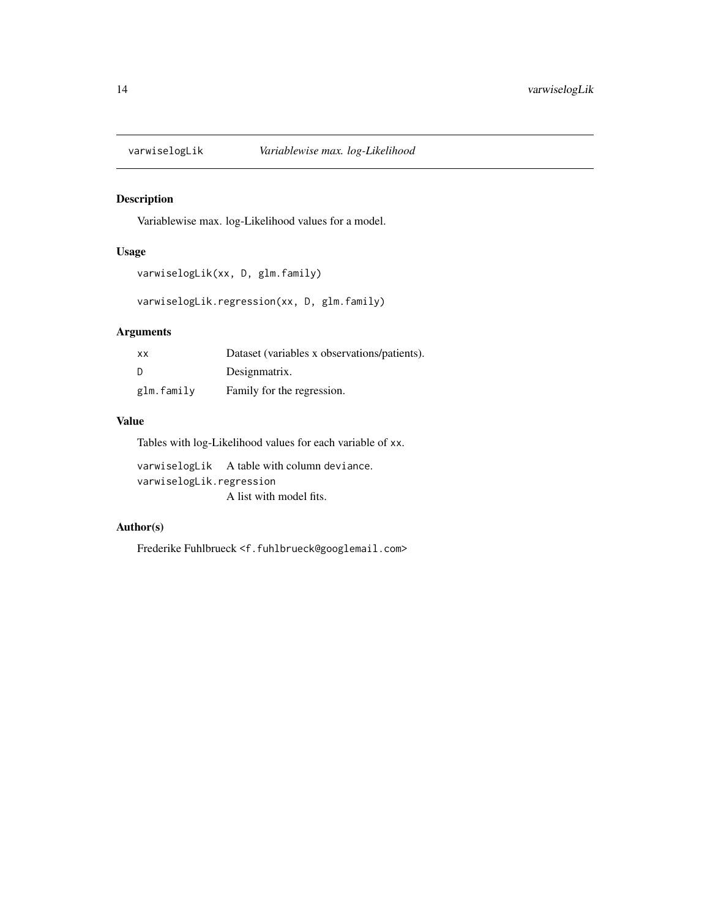<span id="page-13-1"></span><span id="page-13-0"></span>

### Description

Variablewise max. log-Likelihood values for a model.

### Usage

```
varwiselogLik(xx, D, glm.family)
```
varwiselogLik.regression(xx, D, glm.family)

### Arguments

| <b>XX</b>  | Dataset (variables x observations/patients). |
|------------|----------------------------------------------|
| D          | Designmatrix.                                |
| glm.family | Family for the regression.                   |

### Value

Tables with log-Likelihood values for each variable of xx.

varwiselogLik A table with column deviance. varwiselogLik.regression A list with model fits.

### Author(s)

Frederike Fuhlbrueck <f.fuhlbrueck@googlemail.com>